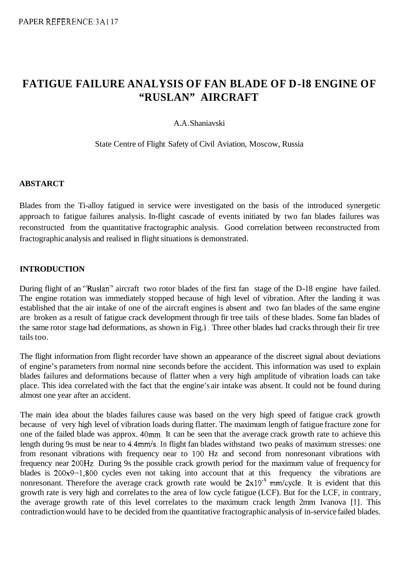# **FATIGUE FAILURE ANALYSIS OF FAN BLADE OF D-l8 ENGINE OF "RUSLAN" AIRCRAFT**

#### A. A. Shaniavski

State Centre of Flight Safety of Civil Aviation, Moscow, Russia

#### **ABSTARCT**

Blades from the Ti-alloy fatigued in service were investigated on the basis of the introduced synergetic approach to fatigue failures analysis. In-flight cascade of events initiated by two fan blades failures was reconstructed from the quantitative fractographic analysis. Good correlation between reconstructed from fractographic analysis and realised in flight situations is demonstrated.

#### **INTRODUCTION**

During flight of an "Ruslan" aircraft two rotor blades of the first fan stage of the D-l8 engine have failed. The engine rotation was immediately stopped because of high level of vibration. After the landing it was established that the air intake of one of the aircraft engines is absent and two fan blades of the same engine are broken as a result of fatigue crack development through fir tree tails of these blades. Some fan blades of the same rotor stage had deformations, as shown in Fig. **1.** Three other blades had cracks through their fir tree tails too.

The flight information from flight recorder have shown an appearance of the discreet signal about deviations of engine's parameters from normal nine seconds before the accident. This information was used to explain blades failures and deformations because of flatter when a very high amplitude of vibration loads can take place. This idea correlated with the fact that the engine's air intake was absent. It could not be found during almost one year after an accident.

The main idea about the blades failures cause was based on the very high speed of fatigue crack growth because of very high level of vibration loads during flatter. The maximum length of fatigue fracture zone for one of the failed blade was approx. 40mm. It can be seen that the average crack growth rate to achieve this length during 9s must be near to 4.4mm/s. In flight fan blades withstand two peaks of maximum stresses: one from resonant vibrations with frequency near to 100 Hz and second from nonresonant vibrations with frequency near 200Hz. During 9s the possible crack growth period for the maximum value of frequency for blades is 200x9=1,800 cycles even not taking into account that at this frequency the vibrations are nonresonant. Therefore the average crack growth rate would be  $2x10^{-3}$  mm/cycle. It is evident that this growth rate is very high and correlates to the area of low cycle fatigue (LCF). But for the LCF, in contrary, the average growth rate of this level correlates to the maximum crack length 2mm Ivanova [l]. This contradiction would have to be decided from the quantitative fractographic analysis of in-service failed blades.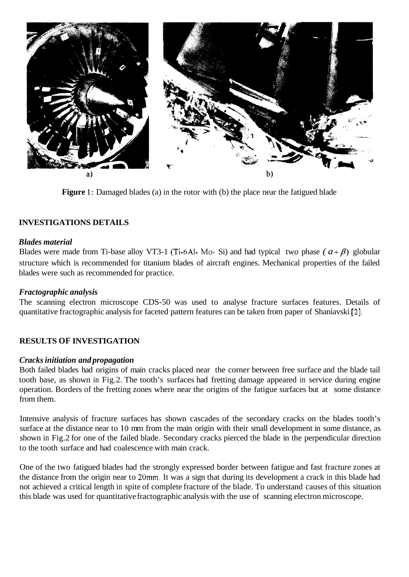

**Figure 1:** Damaged blades (a) in the rotor with (b) the place near the fatigued blade

# **INVESTIGATIONS DETAILS**

#### *Blades material*

Blades were made from Ti-base alloy VT3-1 (Ti-6Al- Mo- Si) and had typical two phase  $(a + \beta)$  globular structure which is recommended for titanium blades of aircraft engines. Mechanical properties of the failed blades were such as recommended for practice.

# *Fractographic analysis*

The scanning electron microscope CDS-50 was used to analyse fracture surfaces features. Details of quantitative fractographic analysis for faceted pattern features can be taken from paper of Shaniavski [2].

# **RESULTS OF INVESTIGATION**

# *Cracks initiation and propagation*

Both failed blades had origins of main cracks placed near the corner between free surface and the blade tail tooth base, as shown in Fig.2. The tooth's surfaces had fretting damage appeared in service during engine operation. Borders of the fretting zones where near the origins of the fatigue surfaces but at some distance from them.

Intensive analysis of fracture surfaces has shown cascades of the secondary cracks on the blades tooth's surface at the distance near to 10 mm from the main origin with their small development in some distance, as shown in Fig.2 for one of the failed blade. Secondary cracks pierced the blade in the perpendicular direction to the tooth surface and had coalescence with main crack.

One of the two fatigued blades had the strongly expressed border between fatigue and fast fracture zones at the distance from the origin near to 20mm. It was a sign that during its development a crack in this blade had not achieved a critical length in spite of complete fracture of the blade. To understand causes of this situation this blade was used for quantitative fractographic analysis with the use of scanning electron microscope.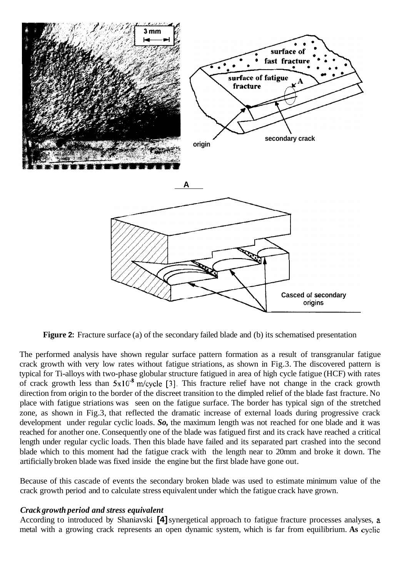

**Figure 2:** Fracture surface (a) of the secondary failed blade and (b) its schematised presentation

The performed analysis have shown regular surface pattern formation as a result of transgranular fatigue crack growth with very low rates without fatigue striations, as shown in Fig.3. The discovered pattern is typical for Ti-alloys with two-phase globular structure fatigued in area of high cycle fatigue (HCF) with rates of crack growth less than  $5x10^{-8}$  m/cycle [3]. This fracture relief have not change in the crack growth direction from origin to the border of the discreet transition to the dimpled relief of the blade fast fracture. No place with fatigue striations was seen on the fatigue surface. The border has typical sign of the stretched zone, as shown in Fig.3, that reflected the dramatic increase of external loads during progressive crack development under regular cyclic loads. *So,* the maximum length was not reached for one blade and it was reached for another one. Consequently one of the blade was fatigued first and its crack have reached a critical length under regular cyclic loads. Then this blade have failed and its separated part crashed into the second blade which to this moment had the fatigue crack with the length near to 20mm and broke it down. The artificially broken blade was fixed inside the engine but the first blade have gone out.

Because of this cascade of events the secondary broken blade was used to estimate minimum value of the crack growth period and to calculate stress equivalent under which the fatigue crack have grown.

#### *Crack growth period and stress equivalent*

According to introduced by Shaniavski **[4]** synergetical approach to fatigue fracture processes analyses, a metal with a growing crack represents an open dynamic system, which is far from equilibrium. **As** cyclic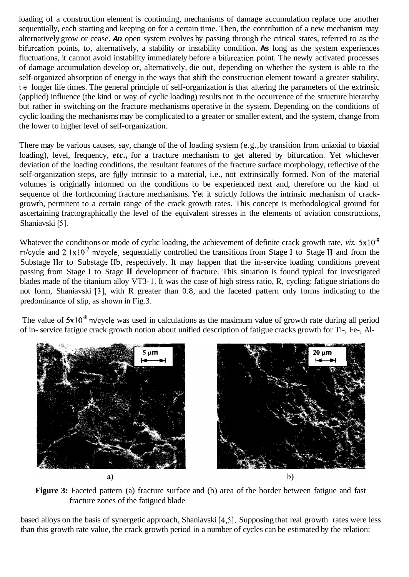loading of a construction element is continuing, mechanisms of damage accumulation replace one another sequentially, each starting and keeping on for a certain time. Then, the contribution of a new mechanism may alternatively grow or cease. *An* open system evolves by passing through the critical states, referred to as the bihrcation points, to, alternatively, a stability or instability condition. **As** long as the system experiences fluctuations, it cannot avoid instability immediately before a bifurcation point. The newly activated processes of damage accumulation develop or, alternatively, die out, depending on whether the system is able to the self-organized absorption of energy in the ways that shift the construction element toward a greater stability, i.e. longer life times. The general principle of self-organization is that altering the parameters of the extrinsic (applied) influence (the kind or way of cyclic loading) results not in the occurrence of the structure hierarchy but rather in switching on the fracture mechanisms operative in the system. Depending on the conditions of cyclic loading the mechanisms may be complicated to a greater or smaller extent, and the system, change from the lower to higher level of self-organization.

There may be various causes, say, change of the of loading system (e.g., by transition from uniaxial to biaxial loading), level, frequency, *etc.*, for a fracture mechanism to get altered by bifurcation. Yet whichever deviation of the loading conditions, the resultant features of the fracture surface morphology, reflective of the self-organization steps, are hlly intrinsic to a material, i.e., not extrinsically formed. Non of the material volumes is originally informed on the conditions to be experienced next and, therefore on the kind of sequence of the forthcoming fracture mechanisms. Yet it strictly follows the intrinsic mechanism of crackgrowth, permitent to a certain range of the crack growth rates. This concept is methodological ground for ascertaining fractographically the level of the equivalent stresses in the elements of aviation constructions, Shaniavski [5]

Whatever the conditions or mode of cyclic loading, the achievement of definite crack growth rate,  $viz. 5x10^{-8}$ m/cycle and 2.1x10<sup>-7</sup> m/cycle, sequentially controlled the transitions from Stage I to Stage II and from the Substage **IIa** to Substage IIb, respectively. It may happen that the in-service loading conditions prevent passing from Stage **I** to Stage **I1** development of fracture. This situation is found typical for investigated blades made of the titanium alloy VT3- 1. It was the case of high stress ratio, R, cycling: fatigue striations do not form, Shaniavski [3], with R greater than 0.8, and the faceted pattern only forms indicating to the predominance of slip, as shown in Fig. 3.

The value of  $5x10^{-8}$  m/cycle was used in calculations as the maximum value of growth rate during all period of in- service fatigue crack growth notion about unified description of fatigue cracks growth for Ti-, Fe-, Al-



Figure 3: Faceted pattern (a) fracture surface and (b) area of the border between fatigue and fast fracture zones of the fatigued blade

based alloys on the basis of synergetic approach, Shaniavski **[4,5].** Supposing that real growth rates were less than this growth rate value, the crack growth period in a number of cycles can be estimated by the relation: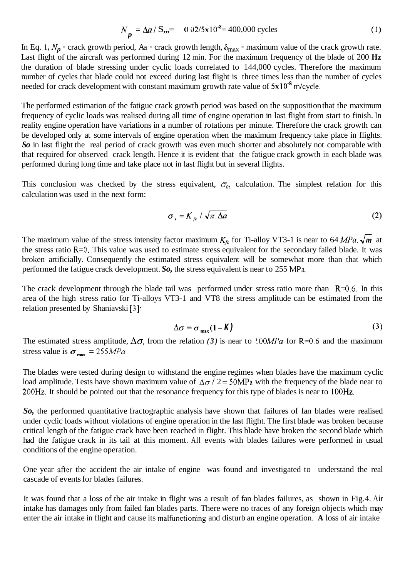$$
N_{p} = \Delta a / S_{\nu} = 0.02/5 \times 10^{-8} = 400,000 \text{ cycles}
$$
 (1)

In Eq. 1,  $N_p$  - crack growth period, Aa - crack growth length,  $\delta_{\text{max}}$  - maximum value of the crack growth rate. Last flight of the aircraft was performed during 12 min. For the maximum frequency of the blade of 200 **Hz**  the duration of blade stressing under cyclic loads correlated to 144,000 cycles. Therefore the maximum number of cycles that blade could not exceed during last flight is three times less than the number of cycles needed for crack development with constant maximum growth rate value of  $5x10^{-8}$  m/cycle.

The performed estimation of the fatigue crack growth period was based on the supposition that the maximum frequency of cyclic loads was realised during all time of engine operation in last flight from start to finish. In reality engine operation have variations in a number of rotations per minute. Therefore the crack growth can be developed only at some intervals of engine operation when the maximum frequency take place in flights. *So* in last flight the real period of crack growth was even much shorter and absolutely not comparable with that required for observed crack length. Hence it is evident that the fatigue crack growth in each blade was performed during long time and take place not in last flight but in several flights.

This conclusion was checked by the stress equivalent,  $\sigma_e$ , calculation. The simplest relation for this calculation was used in the next form:

$$
\sigma_e = K_{fc} / \sqrt{\pi \Delta a}
$$
 (2)

The maximum value of the stress intensity factor maximum  $K_f$  for Ti-alloy VT3-1 is near to 64 MPa.  $\sqrt{m}$  at the stress ratio R=O. This value was used to estimate stress equivalent for the secondary failed blade. It was broken artificially. Consequently the estimated stress equivalent will be somewhat more than that which performed the fatigue crack development. *So,* the stress equivalent is near to 255 MPa.

The crack development through the blade tail was performed under stress ratio more than  $R=0.6$ . In this area of the high stress ratio for Ti-alloys VT3-1 and VT8 the stress amplitude can be estimated from the relation presented by Shaniavski *[3]:* 

$$
\Delta \sigma = \sigma_{\max} (1 - K) \tag{3}
$$

The estimated stress amplitude,  $\Delta \sigma$ , from the relation (3) is near to 100MPa for R=0.6 and the maximum stress value is  $\sigma_{\text{max}} = 255 MPa$ .

The blades were tested during design to withstand the engine regimes when blades have the maximum cyclic load amplitude. Tests have shown maximum value of  $\Delta \sigma / 2 = 50MPa$  with the frequency of the blade near to 200Hz. It should be pointed out that the resonance frequency for this type of blades is near to **100Hz.** 

*So,* the performed quantitative fractographic analysis have shown that failures of fan blades were realised under cyclic loads without violations of engine operation in the last flight. The first blade was broken because critical length of the fatigue crack have been reached in flight. This blade have broken the second blade which had the fatigue crack in its tail at this moment. All events with blades failures were performed in usual conditions of the engine operation.

One year after the accident the air intake of engine was found and investigated to understand the real cascade of events for blades failures.

It was found that a loss of the air intake in flight was a result of fan blades failures, as shown in Fig.4. Air intake has damages only from failed fan blades parts. There were no traces of any foreign objects which may enter the air intake in flight and cause its malftnctioning and disturb an engine operation. **A** loss of air intake